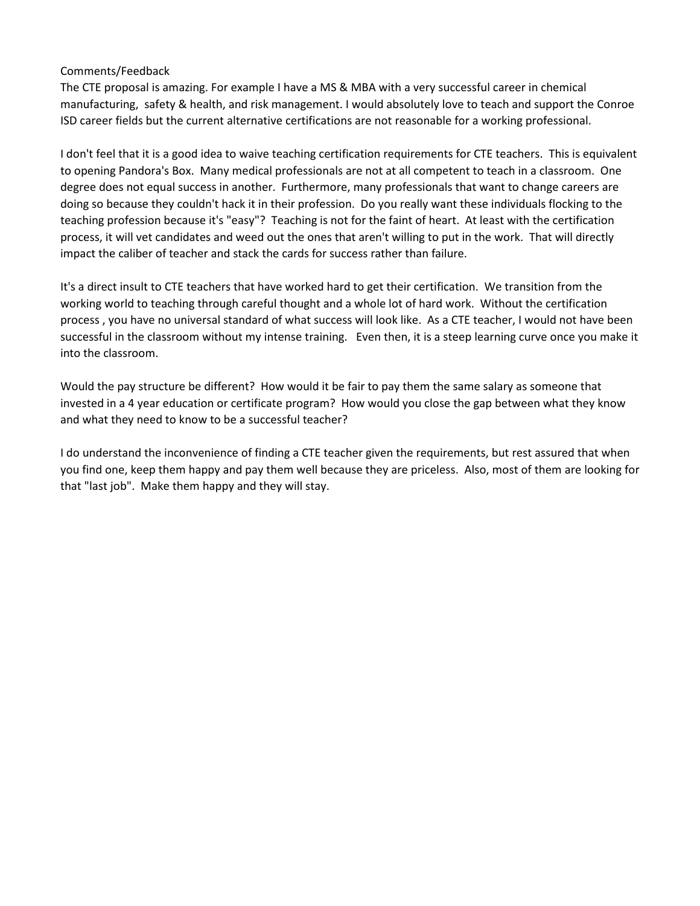## Comments/Feedback

The CTE proposal is amazing. For example I have a MS & MBA with a very successful career in chemical manufacturing, safety & health, and risk management. I would absolutely love to teach and support the Conroe ISD career fields but the current alternative certifications are not reasonable for a working professional.

I don't feel that it is a good idea to waive teaching certification requirements for CTE teachers. This is equivalent to opening Pandora's Box. Many medical professionals are not at all competent to teach in a classroom. One degree does not equal success in another. Furthermore, many professionals that want to change careers are doing so because they couldn't hack it in their profession. Do you really want these individuals flocking to the teaching profession because it's "easy"? Teaching is not for the faint of heart. At least with the certification process, it will vet candidates and weed out the ones that aren't willing to put in the work. That will directly impact the caliber of teacher and stack the cards for success rather than failure.

It's a direct insult to CTE teachers that have worked hard to get their certification. We transition from the working world to teaching through careful thought and a whole lot of hard work. Without the certification process , you have no universal standard of what success will look like. As a CTE teacher, I would not have been successful in the classroom without my intense training. Even then, it is a steep learning curve once you make it into the classroom.

Would the pay structure be different? How would it be fair to pay them the same salary as someone that invested in a 4 year education or certificate program? How would you close the gap between what they know and what they need to know to be a successful teacher?

I do understand the inconvenience of finding a CTE teacher given the requirements, but rest assured that when you find one, keep them happy and pay them well because they are priceless. Also, most of them are looking for that "last job". Make them happy and they will stay.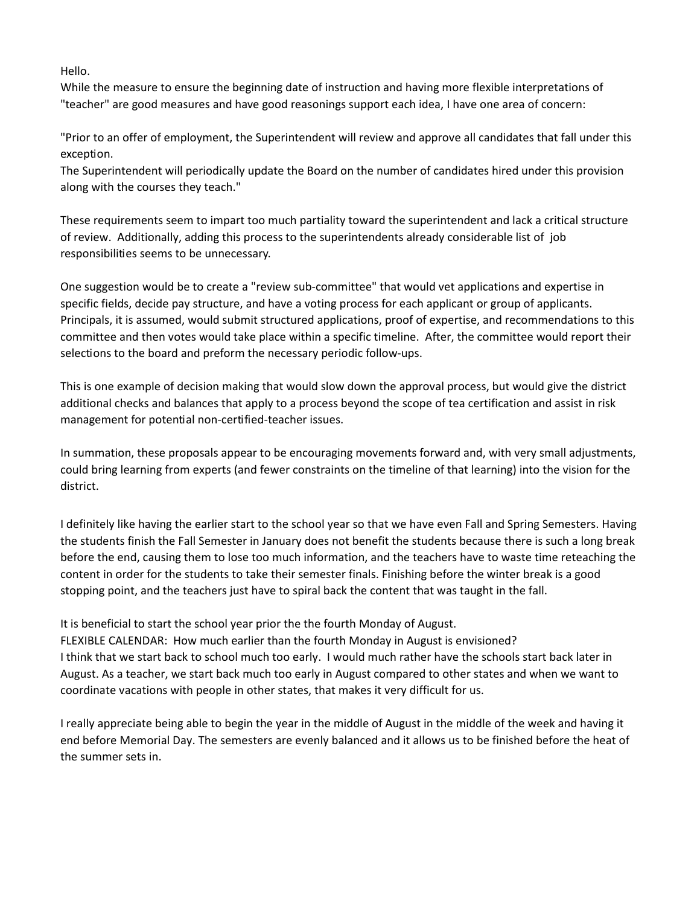Hello.

While the measure to ensure the beginning date of instruction and having more flexible interpretations of "teacher" are good measures and have good reasonings support each idea, I have one area of concern:

"Prior to an offer of employment, the Superintendent will review and approve all candidates that fall under this exception.

The Superintendent will periodically update the Board on the number of candidates hired under this provision along with the courses they teach."

These requirements seem to impart too much partiality toward the superintendent and lack a critical structure of review. Additionally, adding this process to the superintendents already considerable list of job responsibilities seems to be unnecessary.

One suggestion would be to create a "review sub-committee" that would vet applications and expertise in specific fields, decide pay structure, and have a voting process for each applicant or group of applicants. Principals, it is assumed, would submit structured applications, proof of expertise, and recommendations to this committee and then votes would take place within a specific timeline. After, the committee would report their selections to the board and preform the necessary periodic follow-ups.

This is one example of decision making that would slow down the approval process, but would give the district additional checks and balances that apply to a process beyond the scope of tea certification and assist in risk management for potential non-certified-teacher issues.

In summation, these proposals appear to be encouraging movements forward and, with very small adjustments, could bring learning from experts (and fewer constraints on the timeline of that learning) into the vision for the district.

I definitely like having the earlier start to the school year so that we have even Fall and Spring Semesters. Having the students finish the Fall Semester in January does not benefit the students because there is such a long break before the end, causing them to lose too much information, and the teachers have to waste time reteaching the content in order for the students to take their semester finals. Finishing before the winter break is a good stopping point, and the teachers just have to spiral back the content that was taught in the fall.

It is beneficial to start the school year prior the the fourth Monday of August.

FLEXIBLE CALENDAR: How much earlier than the fourth Monday in August is envisioned? I think that we start back to school much too early. I would much rather have the schools start back later in August. As a teacher, we start back much too early in August compared to other states and when we want to coordinate vacations with people in other states, that makes it very difficult for us.

I really appreciate being able to begin the year in the middle of August in the middle of the week and having it end before Memorial Day. The semesters are evenly balanced and it allows us to be finished before the heat of the summer sets in.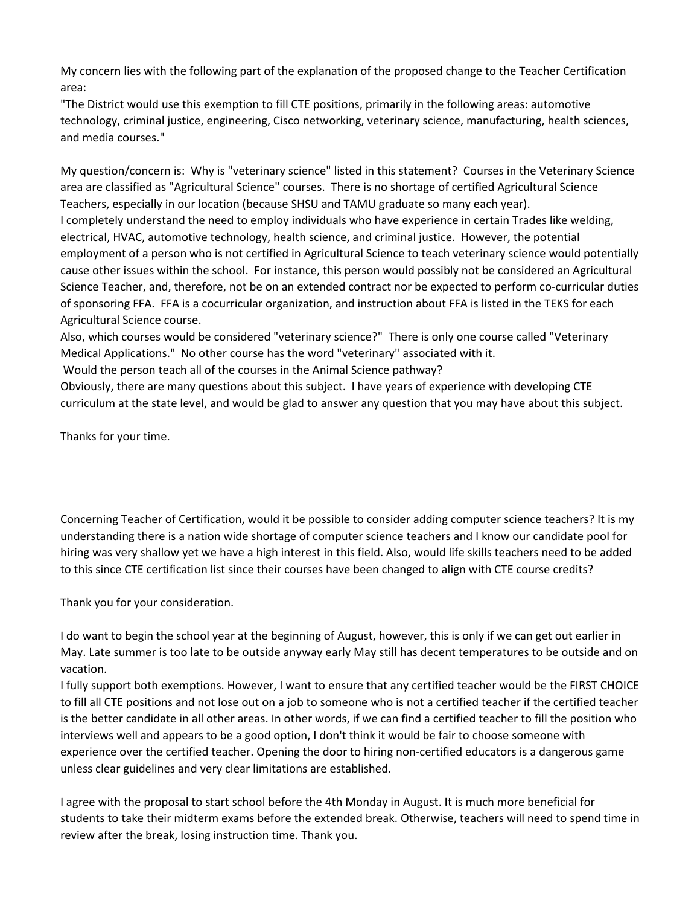My concern lies with the following part of the explanation of the proposed change to the Teacher Certification area:

"The District would use this exemption to fill CTE positions, primarily in the following areas: automotive technology, criminal justice, engineering, Cisco networking, veterinary science, manufacturing, health sciences, and media courses."

My question/concern is: Why is "veterinary science" listed in this statement? Courses in the Veterinary Science area are classified as "Agricultural Science" courses. There is no shortage of certified Agricultural Science Teachers, especially in our location (because SHSU and TAMU graduate so many each year). I completely understand the need to employ individuals who have experience in certain Trades like welding, electrical, HVAC, automotive technology, health science, and criminal justice. However, the potential employment of a person who is not certified in Agricultural Science to teach veterinary science would potentially cause other issues within the school. For instance, this person would possibly not be considered an Agricultural Science Teacher, and, therefore, not be on an extended contract nor be expected to perform co-curricular duties of sponsoring FFA. FFA is a cocurricular organization, and instruction about FFA is listed in the TEKS for each Agricultural Science course.

Also, which courses would be considered "veterinary science?" There is only one course called "Veterinary Medical Applications." No other course has the word "veterinary" associated with it.

Would the person teach all of the courses in the Animal Science pathway?

Obviously, there are many questions about this subject. I have years of experience with developing CTE curriculum at the state level, and would be glad to answer any question that you may have about this subject.

Thanks for your time.

Concerning Teacher of Certification, would it be possible to consider adding computer science teachers? It is my understanding there is a nation wide shortage of computer science teachers and I know our candidate pool for hiring was very shallow yet we have a high interest in this field. Also, would life skills teachers need to be added to this since CTE certification list since their courses have been changed to align with CTE course credits?

Thank you for your consideration.

I do want to begin the school year at the beginning of August, however, this is only if we can get out earlier in May. Late summer is too late to be outside anyway early May still has decent temperatures to be outside and on vacation.

I fully support both exemptions. However, I want to ensure that any certified teacher would be the FIRST CHOICE to fill all CTE positions and not lose out on a job to someone who is not a certified teacher if the certified teacher is the better candidate in all other areas. In other words, if we can find a certified teacher to fill the position who interviews well and appears to be a good option, I don't think it would be fair to choose someone with experience over the certified teacher. Opening the door to hiring non-certified educators is a dangerous game unless clear guidelines and very clear limitations are established.

I agree with the proposal to start school before the 4th Monday in August. It is much more beneficial for students to take their midterm exams before the extended break. Otherwise, teachers will need to spend time in review after the break, losing instruction time. Thank you.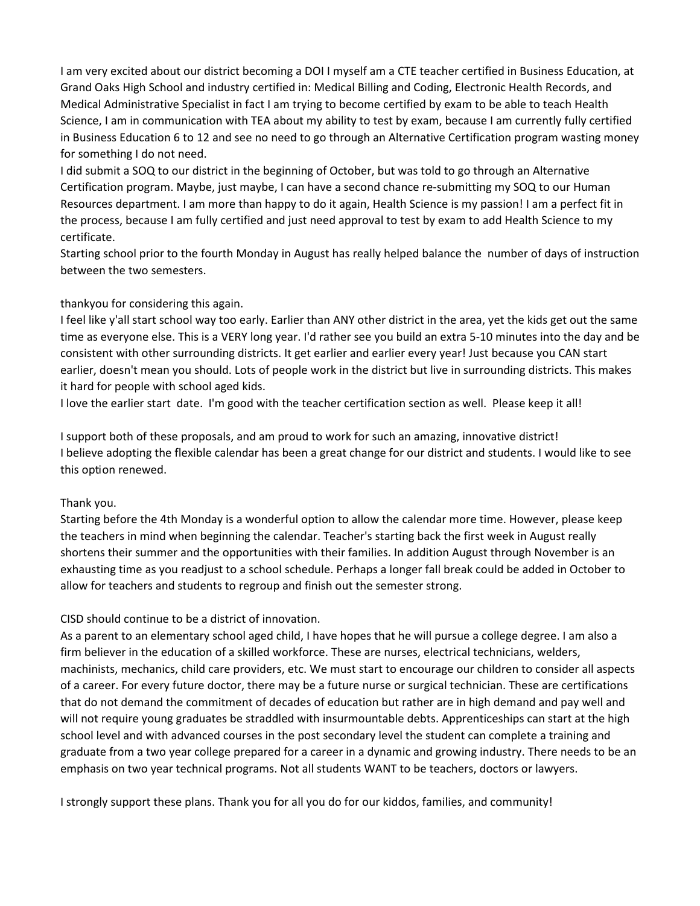I am very excited about our district becoming a DOI I myself am a CTE teacher certified in Business Education, at Grand Oaks High School and industry certified in: Medical Billing and Coding, Electronic Health Records, and Medical Administrative Specialist in fact I am trying to become certified by exam to be able to teach Health Science, I am in communication with TEA about my ability to test by exam, because I am currently fully certified in Business Education 6 to 12 and see no need to go through an Alternative Certification program wasting money for something I do not need.

I did submit a SOQ to our district in the beginning of October, but was told to go through an Alternative Certification program. Maybe, just maybe, I can have a second chance re-submitting my SOQ to our Human Resources department. I am more than happy to do it again, Health Science is my passion! I am a perfect fit in the process, because I am fully certified and just need approval to test by exam to add Health Science to my certificate.

Starting school prior to the fourth Monday in August has really helped balance the number of days of instruction between the two semesters.

## thankyou for considering this again.

I feel like y'all start school way too early. Earlier than ANY other district in the area, yet the kids get out the same time as everyone else. This is a VERY long year. I'd rather see you build an extra 5-10 minutes into the day and be consistent with other surrounding districts. It get earlier and earlier every year! Just because you CAN start earlier, doesn't mean you should. Lots of people work in the district but live in surrounding districts. This makes it hard for people with school aged kids.

I love the earlier start date. I'm good with the teacher certification section as well. Please keep it all!

I support both of these proposals, and am proud to work for such an amazing, innovative district! I believe adopting the flexible calendar has been a great change for our district and students. I would like to see this option renewed.

## Thank you.

Starting before the 4th Monday is a wonderful option to allow the calendar more time. However, please keep the teachers in mind when beginning the calendar. Teacher's starting back the first week in August really shortens their summer and the opportunities with their families. In addition August through November is an exhausting time as you readjust to a school schedule. Perhaps a longer fall break could be added in October to allow for teachers and students to regroup and finish out the semester strong.

CISD should continue to be a district of innovation.

As a parent to an elementary school aged child, I have hopes that he will pursue a college degree. I am also a firm believer in the education of a skilled workforce. These are nurses, electrical technicians, welders, machinists, mechanics, child care providers, etc. We must start to encourage our children to consider all aspects of a career. For every future doctor, there may be a future nurse or surgical technician. These are certifications that do not demand the commitment of decades of education but rather are in high demand and pay well and will not require young graduates be straddled with insurmountable debts. Apprenticeships can start at the high school level and with advanced courses in the post secondary level the student can complete a training and graduate from a two year college prepared for a career in a dynamic and growing industry. There needs to be an emphasis on two year technical programs. Not all students WANT to be teachers, doctors or lawyers.

I strongly support these plans. Thank you for all you do for our kiddos, families, and community!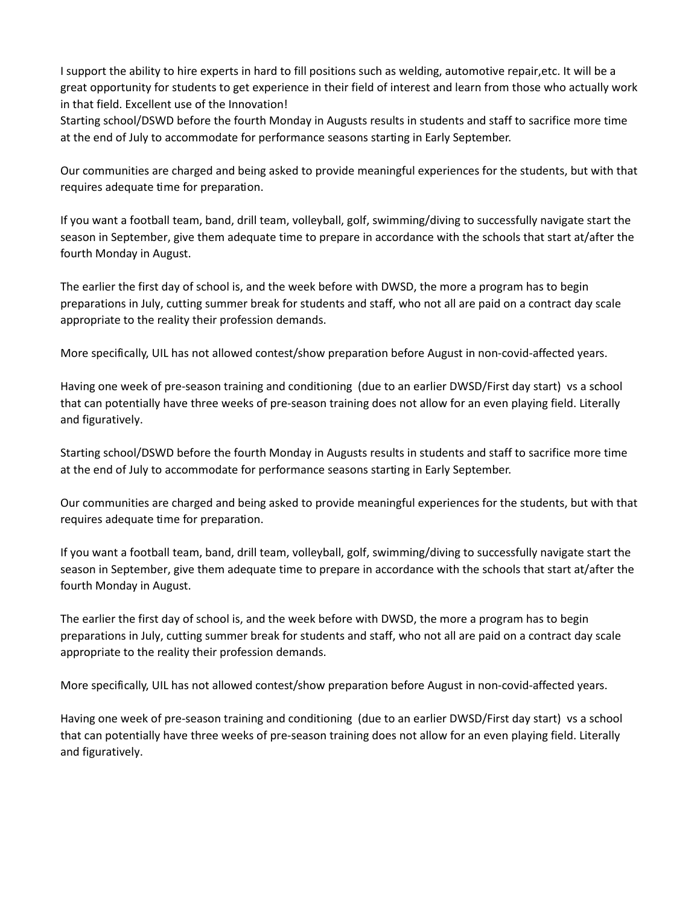I support the ability to hire experts in hard to fill positions such as welding, automotive repair,etc. It will be a great opportunity for students to get experience in their field of interest and learn from those who actually work in that field. Excellent use of the Innovation!

Starting school/DSWD before the fourth Monday in Augusts results in students and staff to sacrifice more time at the end of July to accommodate for performance seasons starting in Early September.

Our communities are charged and being asked to provide meaningful experiences for the students, but with that requires adequate time for preparation.

If you want a football team, band, drill team, volleyball, golf, swimming/diving to successfully navigate start the season in September, give them adequate time to prepare in accordance with the schools that start at/after the fourth Monday in August.

The earlier the first day of school is, and the week before with DWSD, the more a program has to begin preparations in July, cutting summer break for students and staff, who not all are paid on a contract day scale appropriate to the reality their profession demands.

More specifically, UIL has not allowed contest/show preparation before August in non-covid-affected years.

Having one week of pre-season training and conditioning (due to an earlier DWSD/First day start) vs a school that can potentially have three weeks of pre-season training does not allow for an even playing field. Literally and figuratively.

Starting school/DSWD before the fourth Monday in Augusts results in students and staff to sacrifice more time at the end of July to accommodate for performance seasons starting in Early September.

Our communities are charged and being asked to provide meaningful experiences for the students, but with that requires adequate time for preparation.

If you want a football team, band, drill team, volleyball, golf, swimming/diving to successfully navigate start the season in September, give them adequate time to prepare in accordance with the schools that start at/after the fourth Monday in August.

The earlier the first day of school is, and the week before with DWSD, the more a program has to begin preparations in July, cutting summer break for students and staff, who not all are paid on a contract day scale appropriate to the reality their profession demands.

More specifically, UIL has not allowed contest/show preparation before August in non-covid-affected years.

Having one week of pre-season training and conditioning (due to an earlier DWSD/First day start) vs a school that can potentially have three weeks of pre-season training does not allow for an even playing field. Literally and figuratively.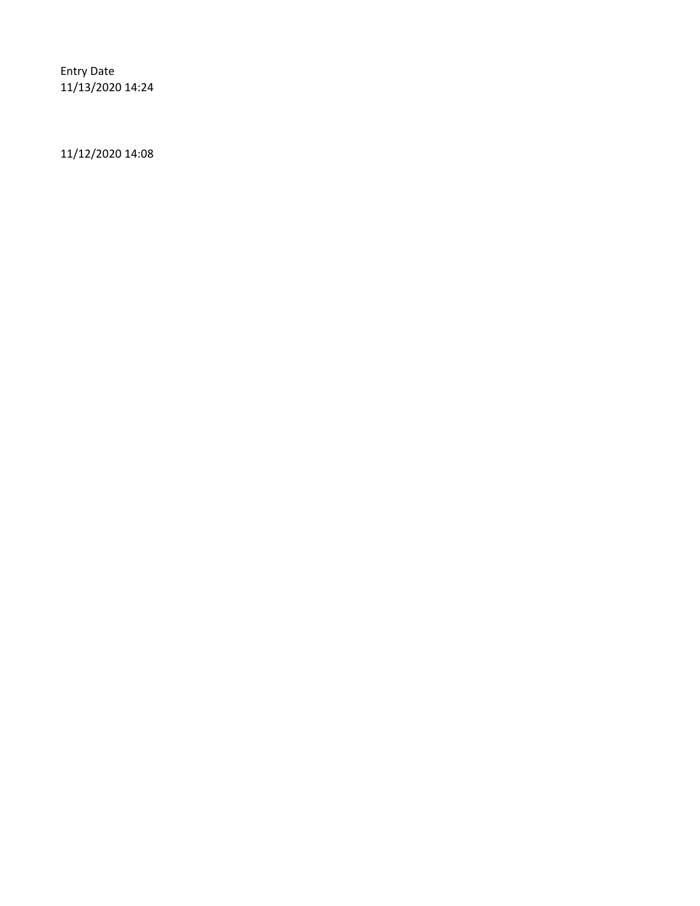Entry Date 11/13/2020 14:24

11/12/2020 14:08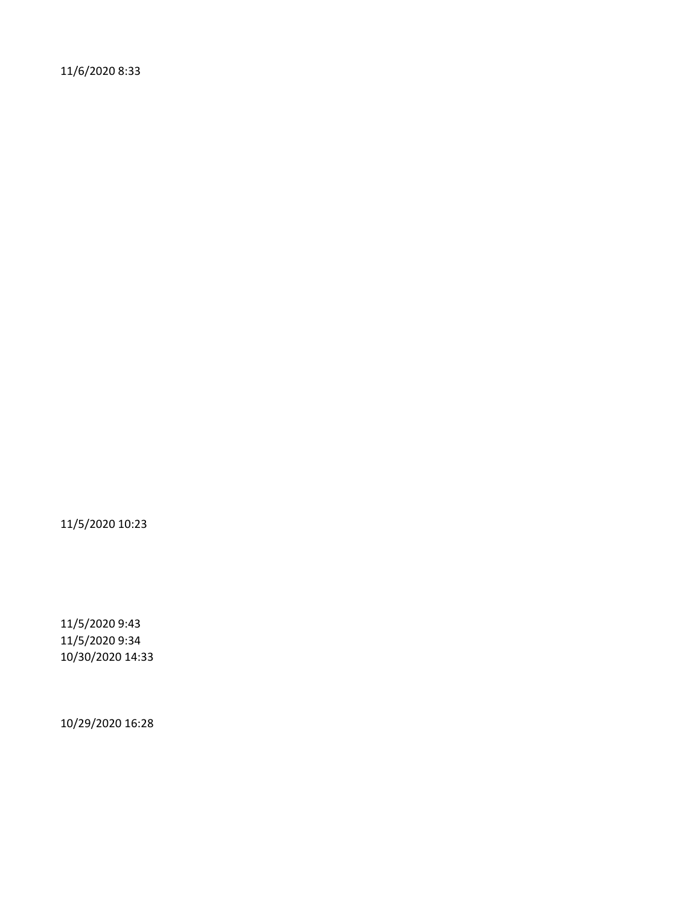11/6/2020 8:33

11/5/2020 10:23

11/5/2020 9:43 11/5/2020 9:34 10/30/2020 14:33

10/29/2020 16:28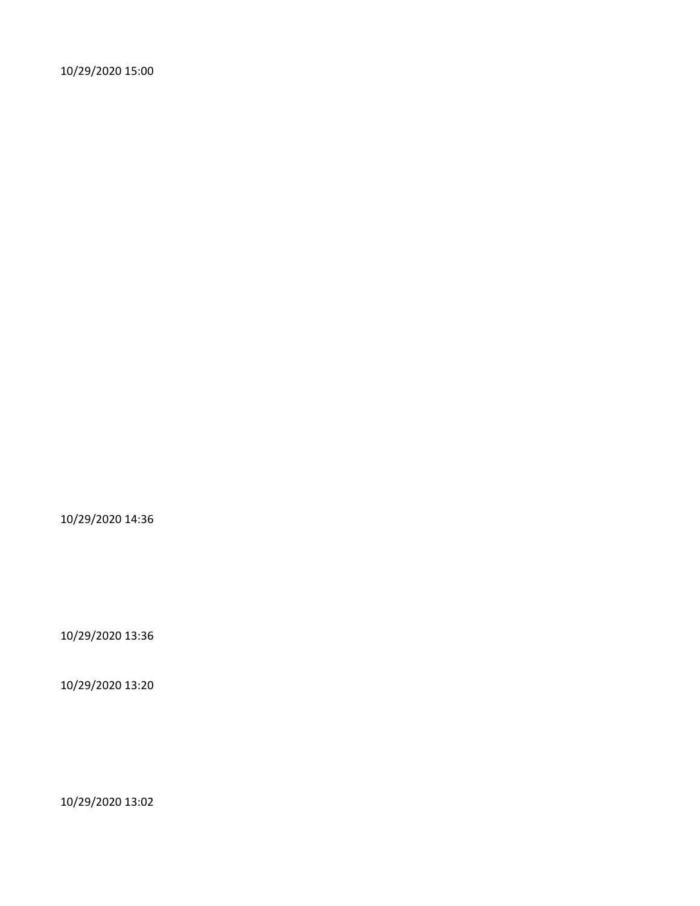10/29/2020 15:00

10/29/2020 14:36

10/29/2020 13:36

10/29/2020 13:20

10/29/2020 13:02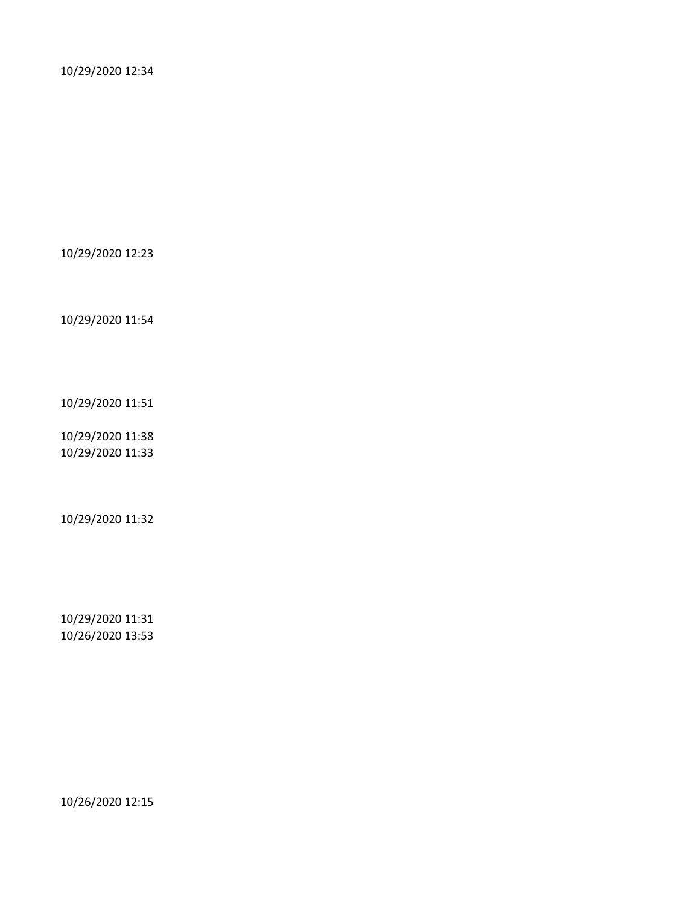10/29/2020 12:34

10/29/2020 12:23

10/29/2020 11:54

10/29/2020 11:51

10/29/2020 11:38 10/29/2020 11:33

10/29/2020 11:32

10/29/2020 11:31 10/26/2020 13:53

10/26/2020 12:15